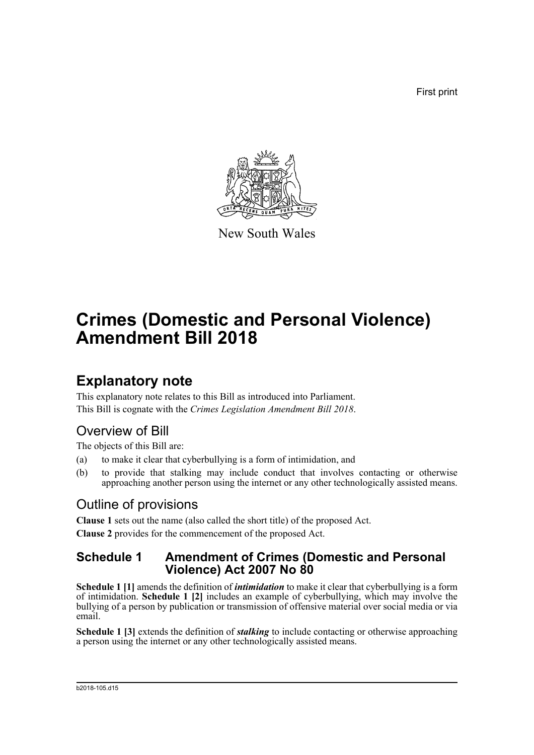First print



New South Wales

# **Crimes (Domestic and Personal Violence) Amendment Bill 2018**

## **Explanatory note**

This explanatory note relates to this Bill as introduced into Parliament. This Bill is cognate with the *Crimes Legislation Amendment Bill 2018*.

## Overview of Bill

The objects of this Bill are:

- (a) to make it clear that cyberbullying is a form of intimidation, and
- (b) to provide that stalking may include conduct that involves contacting or otherwise approaching another person using the internet or any other technologically assisted means.

### Outline of provisions

**Clause 1** sets out the name (also called the short title) of the proposed Act. **Clause 2** provides for the commencement of the proposed Act.

### **Schedule 1 Amendment of Crimes (Domestic and Personal Violence) Act 2007 No 80**

**Schedule 1 [1]** amends the definition of *intimidation* to make it clear that cyberbullying is a form of intimidation. **Schedule 1 [2]** includes an example of cyberbullying, which may involve the bullying of a person by publication or transmission of offensive material over social media or via email.

**Schedule 1 [3]** extends the definition of *stalking* to include contacting or otherwise approaching a person using the internet or any other technologically assisted means.

#### b2018-105.d15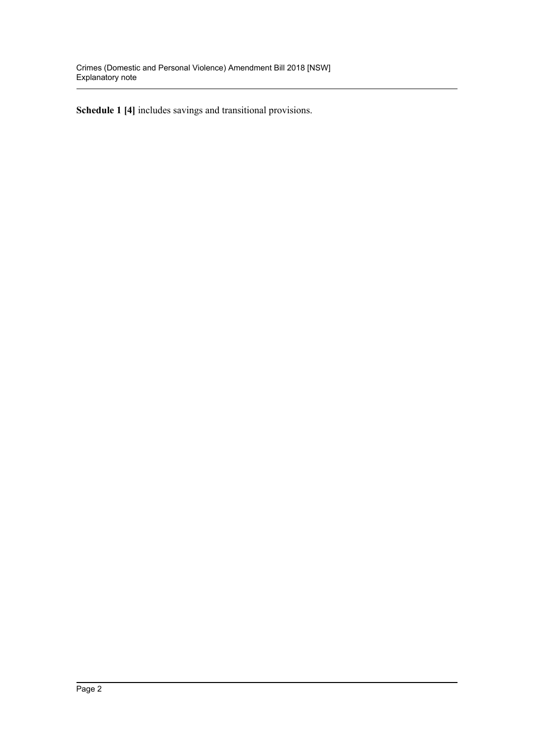**Schedule 1 [4]** includes savings and transitional provisions.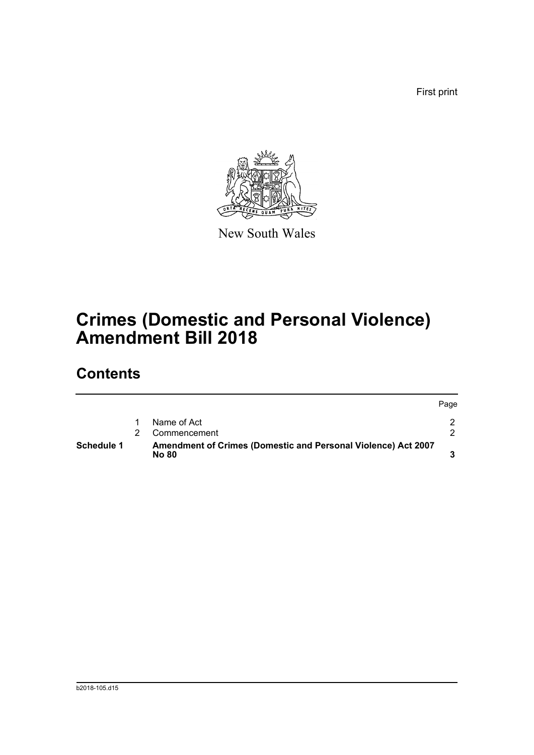First print



New South Wales

# **Crimes (Domestic and Personal Violence) Amendment Bill 2018**

## **Contents**

| Schedule 1 | Amendment of Crimes (Domestic and Personal Violence) Act 2007<br><b>No 80</b> |      |
|------------|-------------------------------------------------------------------------------|------|
|            | Commencement                                                                  |      |
|            | Name of Act                                                                   |      |
|            |                                                                               | Page |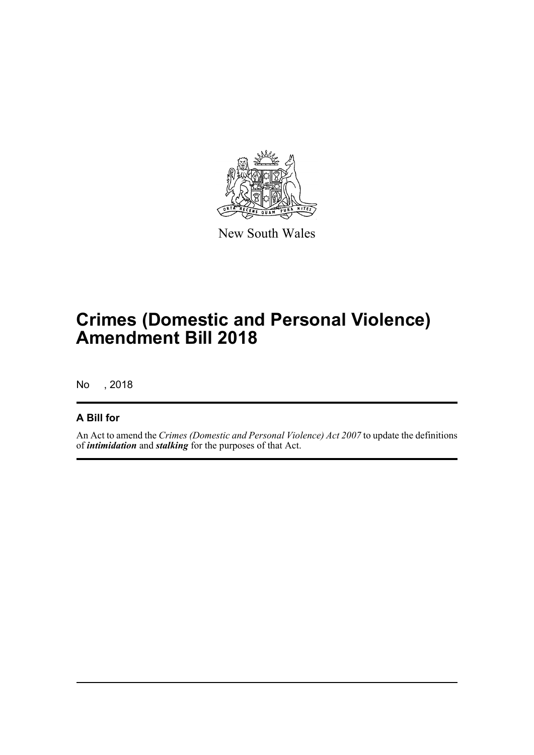

New South Wales

# **Crimes (Domestic and Personal Violence) Amendment Bill 2018**

No , 2018

### **A Bill for**

An Act to amend the *Crimes (Domestic and Personal Violence) Act 2007* to update the definitions of *intimidation* and *stalking* for the purposes of that Act.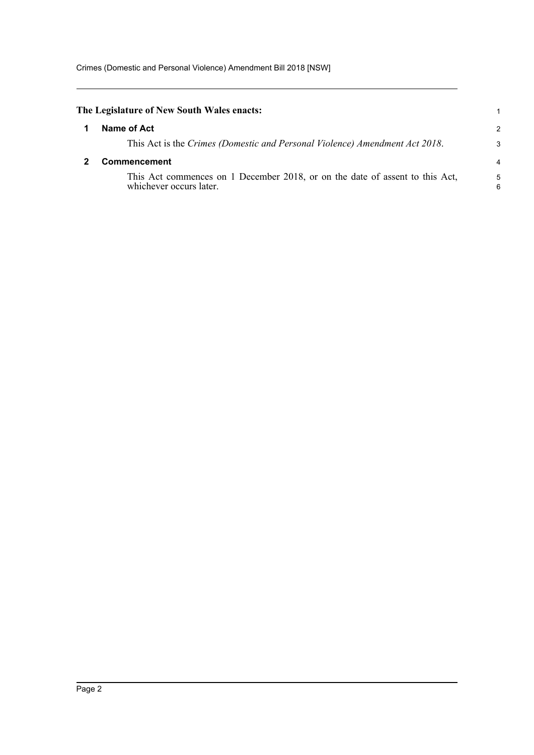<span id="page-4-1"></span><span id="page-4-0"></span>

| The Legislature of New South Wales enacts:                                                              |                |
|---------------------------------------------------------------------------------------------------------|----------------|
| Name of Act                                                                                             | $\overline{2}$ |
| This Act is the Crimes (Domestic and Personal Violence) Amendment Act 2018.                             | 3              |
| <b>Commencement</b>                                                                                     |                |
| This Act commences on 1 December 2018, or on the date of assent to this Act,<br>whichever occurs later. | 5<br>6         |